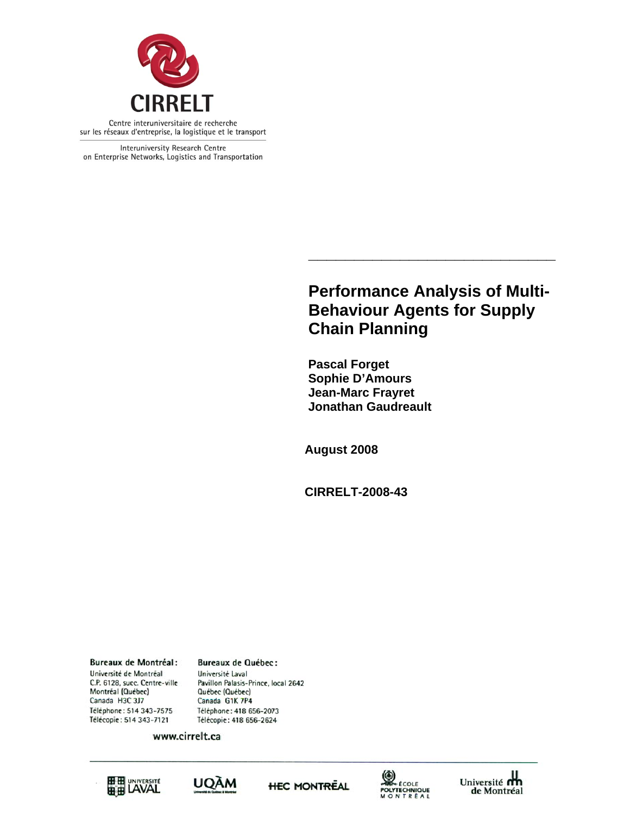

Interuniversity Research Centre on Enterprise Networks, Logistics and Transportation

## **Performance Analysis of Multi-Behaviour Agents for Supply Chain Planning**

**\_\_\_\_\_\_\_\_\_\_\_\_\_\_\_\_\_\_\_\_\_\_\_\_\_\_\_** 

 **Pascal Forget Sophie D'Amours Jean-Marc Frayret Jonathan Gaudreault** 

**August 2008** 

**CIRRELT-2008-43** 

**Bureaux de Montréal:** Université de Montréal C.P. 6128, succ. Centre-ville Montréal (Québec) Canada H3C 3J7 Téléphone: 514 343-7575 Télécopie: 514 343-7121

**Bureaux de Québec:** Université Laval Pavillon Palasis-Prince, local 2642 Québec (Québec) Canada G1K 7P4 Téléphone: 418 656-2073 Télécopie: 418 656-2624

www.cirrelt.ca









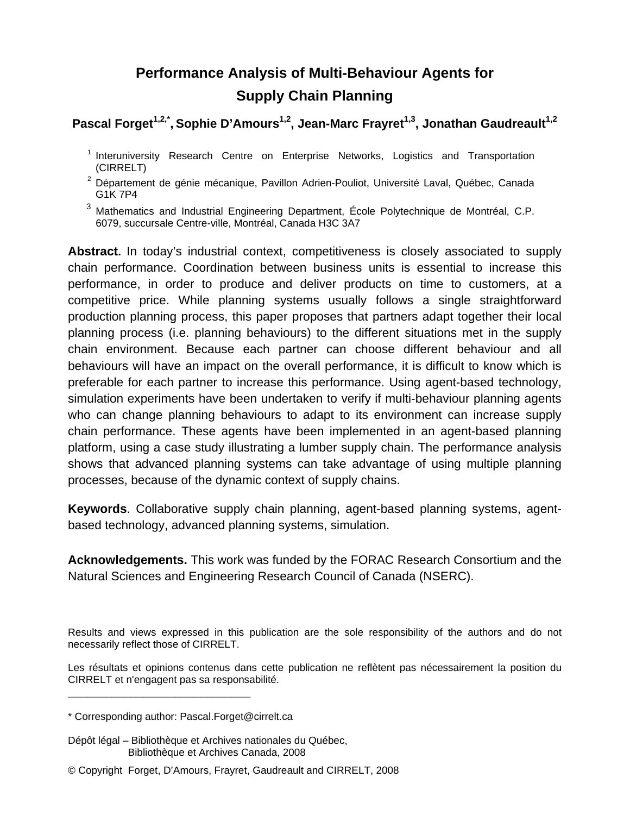# **Performance Analysis of Multi-Behaviour Agents for Supply Chain Planning**

Pascal Forget<sup>1,2,\*</sup>, Sophie D'Amours<sup>1,2</sup>, Jean-Marc Frayret<sup>1,3</sup>, Jonathan Gaudreault<sup>1,2</sup>

- <sup>1</sup> Interuniversity Research Centre on Enterprise Networks, Logistics and Transportation (CIRRELT)
- <sup>2</sup> Département de génie mécanique, Pavillon Adrien-Pouliot, Université Laval, Québec, Canada G1K 7P4
- <sup>3</sup> Mathematics and Industrial Engineering Department, École Polytechnique de Montréal, C.P. 6079, succursale Centre-ville, Montréal, Canada H3C 3A7

**Abstract.** In today's industrial context, competitiveness is closely associated to supply chain performance. Coordination between business units is essential to increase this performance, in order to produce and deliver products on time to customers, at a competitive price. While planning systems usually follows a single straightforward production planning process, this paper proposes that partners adapt together their local planning process (i.e. planning behaviours) to the different situations met in the supply chain environment. Because each partner can choose different behaviour and all behaviours will have an impact on the overall performance, it is difficult to know which is preferable for each partner to increase this performance. Using agent-based technology, simulation experiments have been undertaken to verify if multi-behaviour planning agents who can change planning behaviours to adapt to its environment can increase supply chain performance. These agents have been implemented in an agent-based planning platform, using a case study illustrating a lumber supply chain. The performance analysis shows that advanced planning systems can take advantage of using multiple planning processes, because of the dynamic context of supply chains.

**Keywords**. Collaborative supply chain planning, agent-based planning systems, agentbased technology, advanced planning systems, simulation.

**Acknowledgements.** This work was funded by the FORAC Research Consortium and the Natural Sciences and Engineering Research Council of Canada (NSERC).

Results and views expressed in this publication are the sole responsibility of the authors and do not necessarily reflect those of CIRRELT.

Les résultats et opinions contenus dans cette publication ne reflètent pas nécessairement la position du CIRRELT et n'engagent pas sa responsabilité.

**\_\_\_\_\_\_\_\_\_\_\_\_\_\_\_\_\_\_\_\_\_\_\_\_\_\_\_\_\_**

- Dépôt légal Bibliothèque et Archives nationales du Québec, Bibliothèque et Archives Canada, 2008
- © Copyright Forget, D'Amours, Frayret, Gaudreault and CIRRELT, 2008

<sup>\*</sup> Corresponding author: Pascal.Forget@cirrelt.ca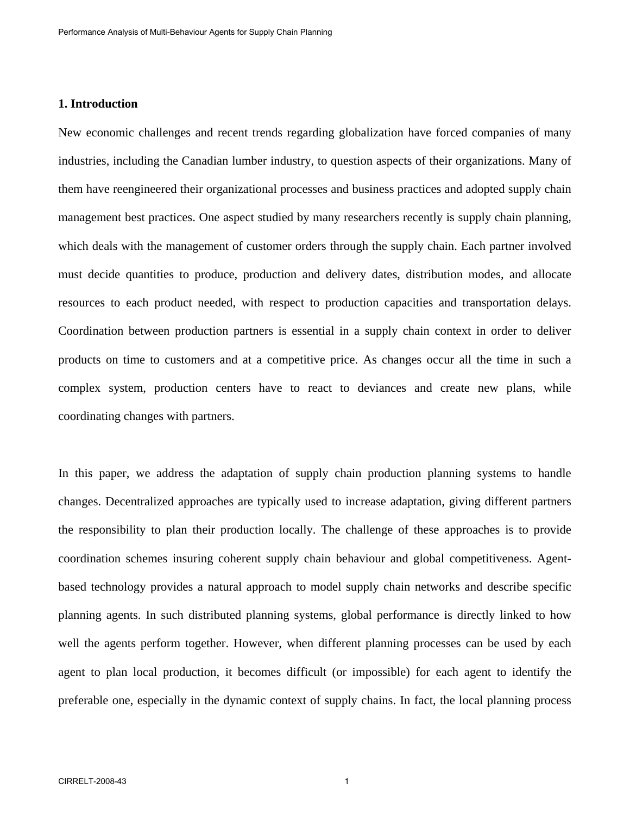## **1. Introduction**

New economic challenges and recent trends regarding globalization have forced companies of many industries, including the Canadian lumber industry, to question aspects of their organizations. Many of them have reengineered their organizational processes and business practices and adopted supply chain management best practices. One aspect studied by many researchers recently is supply chain planning, which deals with the management of customer orders through the supply chain. Each partner involved must decide quantities to produce, production and delivery dates, distribution modes, and allocate resources to each product needed, with respect to production capacities and transportation delays. Coordination between production partners is essential in a supply chain context in order to deliver products on time to customers and at a competitive price. As changes occur all the time in such a complex system, production centers have to react to deviances and create new plans, while coordinating changes with partners.

In this paper, we address the adaptation of supply chain production planning systems to handle changes. Decentralized approaches are typically used to increase adaptation, giving different partners the responsibility to plan their production locally. The challenge of these approaches is to provide coordination schemes insuring coherent supply chain behaviour and global competitiveness. Agentbased technology provides a natural approach to model supply chain networks and describe specific planning agents. In such distributed planning systems, global performance is directly linked to how well the agents perform together. However, when different planning processes can be used by each agent to plan local production, it becomes difficult (or impossible) for each agent to identify the preferable one, especially in the dynamic context of supply chains. In fact, the local planning process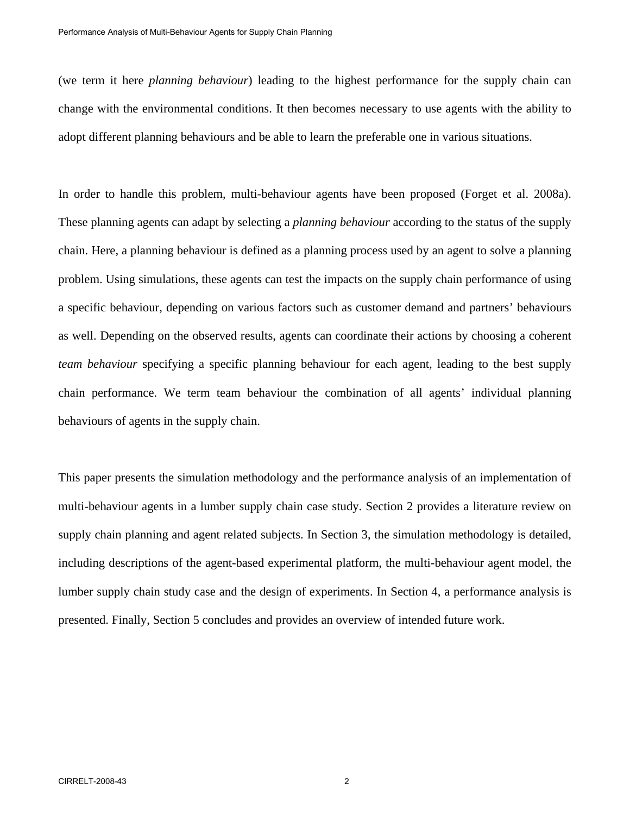(we term it here *planning behaviour*) leading to the highest performance for the supply chain can change with the environmental conditions. It then becomes necessary to use agents with the ability to adopt different planning behaviours and be able to learn the preferable one in various situations.

In order to handle this problem, multi-behaviour agents have been proposed (Forget et al. 2008a). These planning agents can adapt by selecting a *planning behaviour* according to the status of the supply chain. Here, a planning behaviour is defined as a planning process used by an agent to solve a planning problem. Using simulations, these agents can test the impacts on the supply chain performance of using a specific behaviour, depending on various factors such as customer demand and partners' behaviours as well. Depending on the observed results, agents can coordinate their actions by choosing a coherent *team behaviour* specifying a specific planning behaviour for each agent, leading to the best supply chain performance. We term team behaviour the combination of all agents' individual planning behaviours of agents in the supply chain.

This paper presents the simulation methodology and the performance analysis of an implementation of multi-behaviour agents in a lumber supply chain case study. Section 2 provides a literature review on supply chain planning and agent related subjects. In Section 3, the simulation methodology is detailed, including descriptions of the agent-based experimental platform, the multi-behaviour agent model, the lumber supply chain study case and the design of experiments. In Section 4, a performance analysis is presented. Finally, Section 5 concludes and provides an overview of intended future work.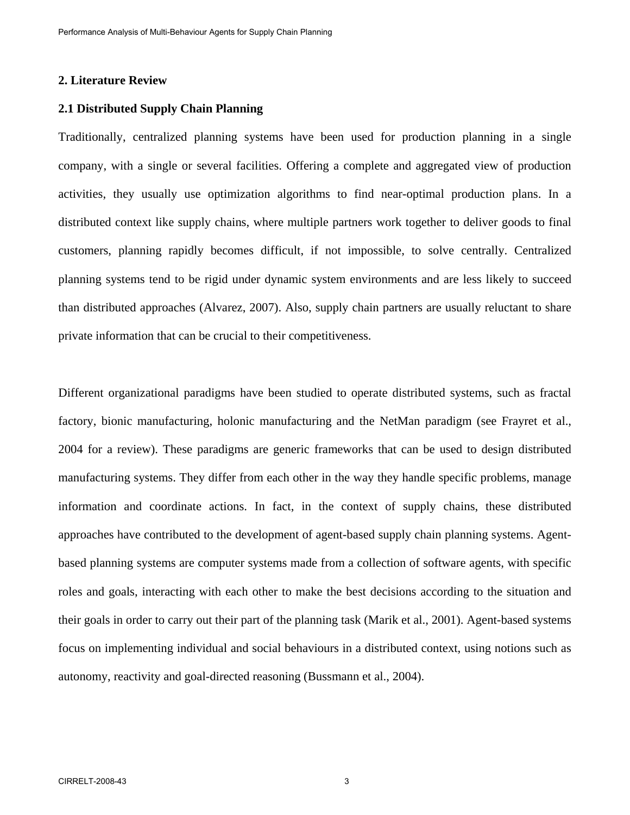## **2. Literature Review**

#### **2.1 Distributed Supply Chain Planning**

Traditionally, centralized planning systems have been used for production planning in a single company, with a single or several facilities. Offering a complete and aggregated view of production activities, they usually use optimization algorithms to find near-optimal production plans. In a distributed context like supply chains, where multiple partners work together to deliver goods to final customers, planning rapidly becomes difficult, if not impossible, to solve centrally. Centralized planning systems tend to be rigid under dynamic system environments and are less likely to succeed than distributed approaches (Alvarez, 2007). Also, supply chain partners are usually reluctant to share private information that can be crucial to their competitiveness.

Different organizational paradigms have been studied to operate distributed systems, such as fractal factory, bionic manufacturing, holonic manufacturing and the NetMan paradigm (see Frayret et al., 2004 for a review). These paradigms are generic frameworks that can be used to design distributed manufacturing systems. They differ from each other in the way they handle specific problems, manage information and coordinate actions. In fact, in the context of supply chains, these distributed approaches have contributed to the development of agent-based supply chain planning systems. Agentbased planning systems are computer systems made from a collection of software agents, with specific roles and goals, interacting with each other to make the best decisions according to the situation and their goals in order to carry out their part of the planning task (Marik et al., 2001). Agent-based systems focus on implementing individual and social behaviours in a distributed context, using notions such as autonomy, reactivity and goal-directed reasoning (Bussmann et al., 2004).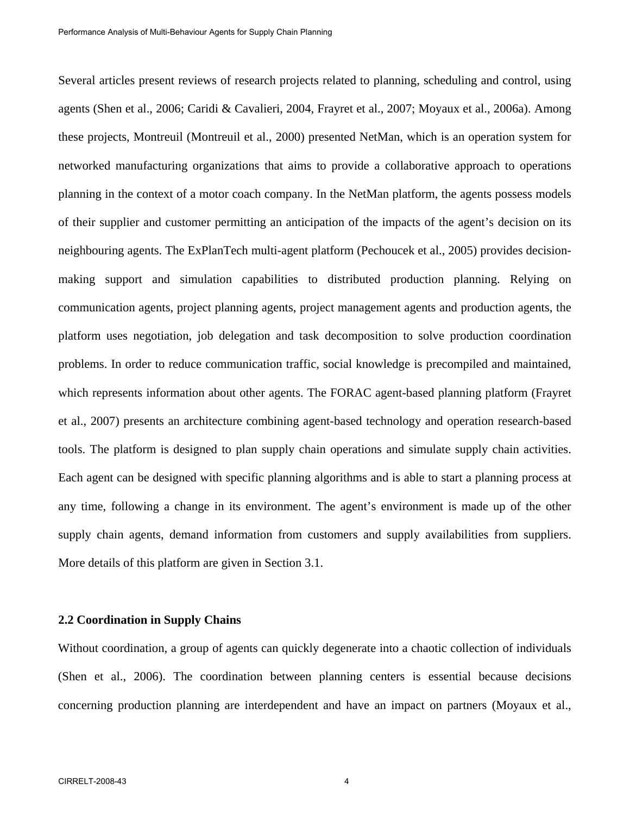Several articles present reviews of research projects related to planning, scheduling and control, using agents (Shen et al., 2006; Caridi & Cavalieri, 2004, Frayret et al., 2007; Moyaux et al., 2006a). Among these projects, Montreuil (Montreuil et al., 2000) presented NetMan, which is an operation system for networked manufacturing organizations that aims to provide a collaborative approach to operations planning in the context of a motor coach company. In the NetMan platform, the agents possess models of their supplier and customer permitting an anticipation of the impacts of the agent's decision on its neighbouring agents. The ExPlanTech multi-agent platform (Pechoucek et al., 2005) provides decisionmaking support and simulation capabilities to distributed production planning. Relying on communication agents, project planning agents, project management agents and production agents, the platform uses negotiation, job delegation and task decomposition to solve production coordination problems. In order to reduce communication traffic, social knowledge is precompiled and maintained, which represents information about other agents. The FORAC agent-based planning platform (Frayret et al., 2007) presents an architecture combining agent-based technology and operation research-based tools. The platform is designed to plan supply chain operations and simulate supply chain activities. Each agent can be designed with specific planning algorithms and is able to start a planning process at any time, following a change in its environment. The agent's environment is made up of the other supply chain agents, demand information from customers and supply availabilities from suppliers. More details of this platform are given in Section 3.1.

## **2.2 Coordination in Supply Chains**

Without coordination, a group of agents can quickly degenerate into a chaotic collection of individuals (Shen et al., 2006). The coordination between planning centers is essential because decisions concerning production planning are interdependent and have an impact on partners (Moyaux et al.,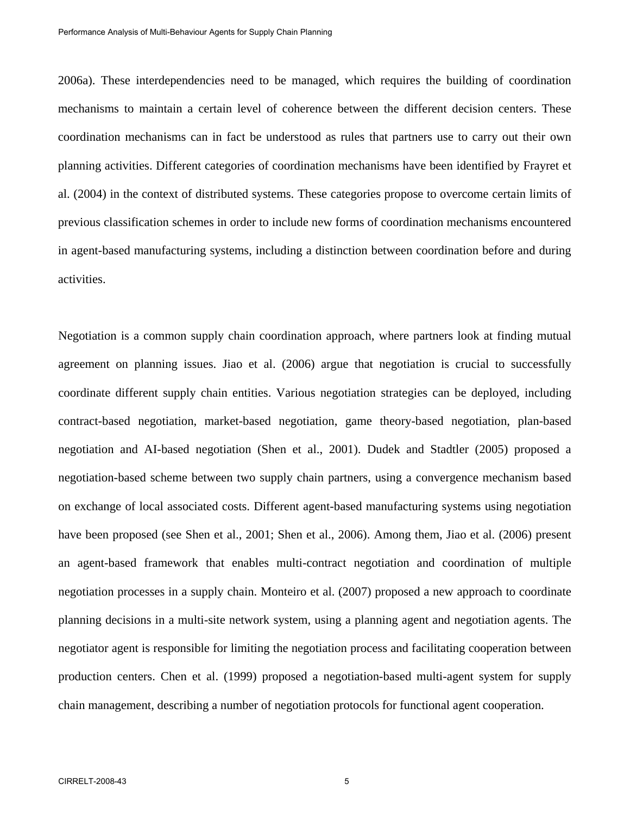2006a). These interdependencies need to be managed, which requires the building of coordination mechanisms to maintain a certain level of coherence between the different decision centers. These coordination mechanisms can in fact be understood as rules that partners use to carry out their own planning activities. Different categories of coordination mechanisms have been identified by Frayret et al. (2004) in the context of distributed systems. These categories propose to overcome certain limits of previous classification schemes in order to include new forms of coordination mechanisms encountered in agent-based manufacturing systems, including a distinction between coordination before and during activities.

Negotiation is a common supply chain coordination approach, where partners look at finding mutual agreement on planning issues. Jiao et al. (2006) argue that negotiation is crucial to successfully coordinate different supply chain entities. Various negotiation strategies can be deployed, including contract-based negotiation, market-based negotiation, game theory-based negotiation, plan-based negotiation and AI-based negotiation (Shen et al., 2001). Dudek and Stadtler (2005) proposed a negotiation-based scheme between two supply chain partners, using a convergence mechanism based on exchange of local associated costs. Different agent-based manufacturing systems using negotiation have been proposed (see Shen et al., 2001; Shen et al., 2006). Among them, Jiao et al. (2006) present an agent-based framework that enables multi-contract negotiation and coordination of multiple negotiation processes in a supply chain. Monteiro et al. (2007) proposed a new approach to coordinate planning decisions in a multi-site network system, using a planning agent and negotiation agents. The negotiator agent is responsible for limiting the negotiation process and facilitating cooperation between production centers. Chen et al. (1999) proposed a negotiation-based multi-agent system for supply chain management, describing a number of negotiation protocols for functional agent cooperation.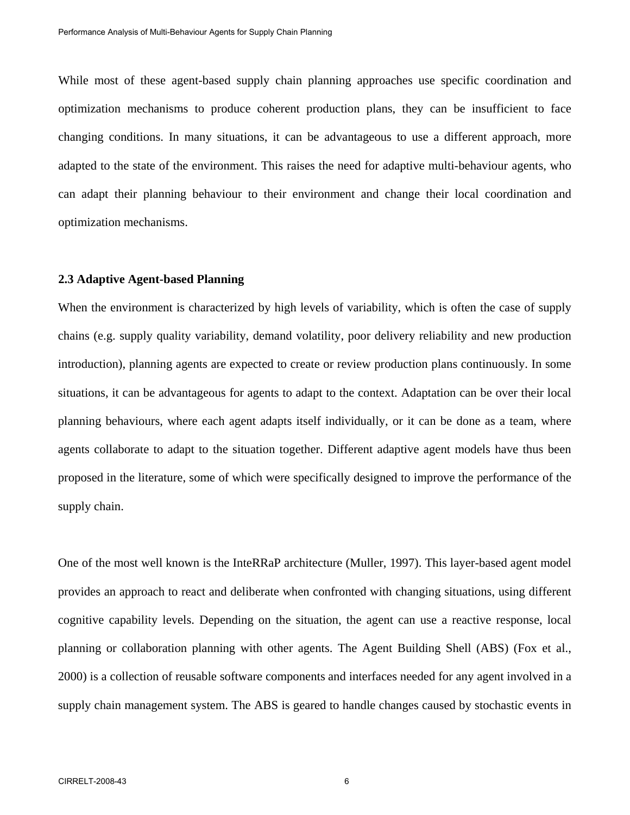While most of these agent-based supply chain planning approaches use specific coordination and optimization mechanisms to produce coherent production plans, they can be insufficient to face changing conditions. In many situations, it can be advantageous to use a different approach, more adapted to the state of the environment. This raises the need for adaptive multi-behaviour agents, who can adapt their planning behaviour to their environment and change their local coordination and optimization mechanisms.

#### **2.3 Adaptive Agent-based Planning**

When the environment is characterized by high levels of variability, which is often the case of supply chains (e.g. supply quality variability, demand volatility, poor delivery reliability and new production introduction), planning agents are expected to create or review production plans continuously. In some situations, it can be advantageous for agents to adapt to the context. Adaptation can be over their local planning behaviours, where each agent adapts itself individually, or it can be done as a team, where agents collaborate to adapt to the situation together. Different adaptive agent models have thus been proposed in the literature, some of which were specifically designed to improve the performance of the supply chain.

One of the most well known is the InteRRaP architecture (Muller, 1997). This layer-based agent model provides an approach to react and deliberate when confronted with changing situations, using different cognitive capability levels. Depending on the situation, the agent can use a reactive response, local planning or collaboration planning with other agents. The Agent Building Shell (ABS) (Fox et al., 2000) is a collection of reusable software components and interfaces needed for any agent involved in a supply chain management system. The ABS is geared to handle changes caused by stochastic events in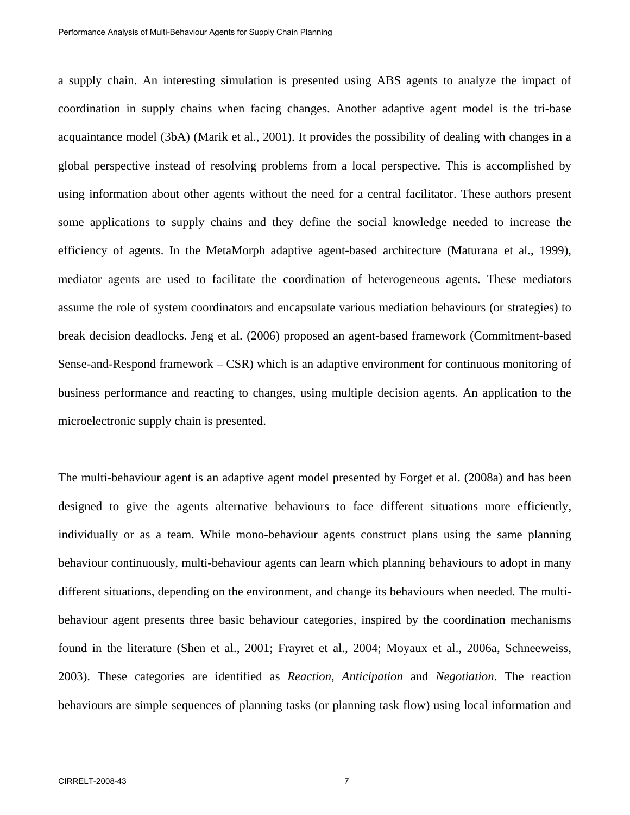a supply chain. An interesting simulation is presented using ABS agents to analyze the impact of coordination in supply chains when facing changes. Another adaptive agent model is the tri-base acquaintance model (3bA) (Marik et al., 2001). It provides the possibility of dealing with changes in a global perspective instead of resolving problems from a local perspective. This is accomplished by using information about other agents without the need for a central facilitator. These authors present some applications to supply chains and they define the social knowledge needed to increase the efficiency of agents. In the MetaMorph adaptive agent-based architecture (Maturana et al., 1999), mediator agents are used to facilitate the coordination of heterogeneous agents. These mediators assume the role of system coordinators and encapsulate various mediation behaviours (or strategies) to break decision deadlocks. Jeng et al. (2006) proposed an agent-based framework (Commitment-based Sense-and-Respond framework – CSR) which is an adaptive environment for continuous monitoring of business performance and reacting to changes, using multiple decision agents. An application to the microelectronic supply chain is presented.

The multi-behaviour agent is an adaptive agent model presented by Forget et al. (2008a) and has been designed to give the agents alternative behaviours to face different situations more efficiently, individually or as a team. While mono-behaviour agents construct plans using the same planning behaviour continuously, multi-behaviour agents can learn which planning behaviours to adopt in many different situations, depending on the environment, and change its behaviours when needed. The multibehaviour agent presents three basic behaviour categories, inspired by the coordination mechanisms found in the literature (Shen et al., 2001; Frayret et al., 2004; Moyaux et al., 2006a, Schneeweiss, 2003). These categories are identified as *Reaction*, *Anticipation* and *Negotiation*. The reaction behaviours are simple sequences of planning tasks (or planning task flow) using local information and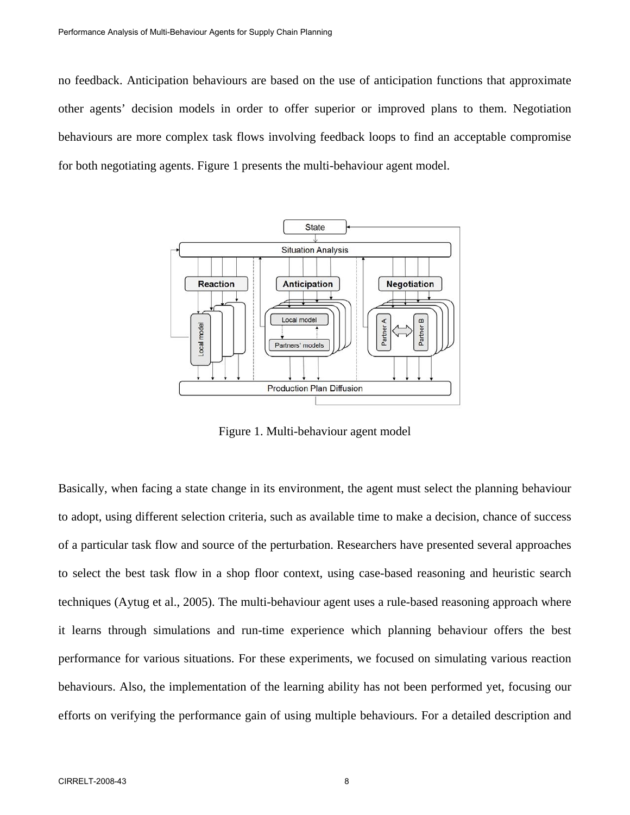no feedback. Anticipation behaviours are based on the use of anticipation functions that approximate other agents' decision models in order to offer superior or improved plans to them. Negotiation behaviours are more complex task flows involving feedback loops to find an acceptable compromise for both negotiating agents. Figure 1 presents the multi-behaviour agent model.



Figure 1. Multi-behaviour agent model

Basically, when facing a state change in its environment, the agent must select the planning behaviour to adopt, using different selection criteria, such as available time to make a decision, chance of success of a particular task flow and source of the perturbation. Researchers have presented several approaches to select the best task flow in a shop floor context, using case-based reasoning and heuristic search techniques (Aytug et al., 2005). The multi-behaviour agent uses a rule-based reasoning approach where it learns through simulations and run-time experience which planning behaviour offers the best performance for various situations. For these experiments, we focused on simulating various reaction behaviours. Also, the implementation of the learning ability has not been performed yet, focusing our efforts on verifying the performance gain of using multiple behaviours. For a detailed description and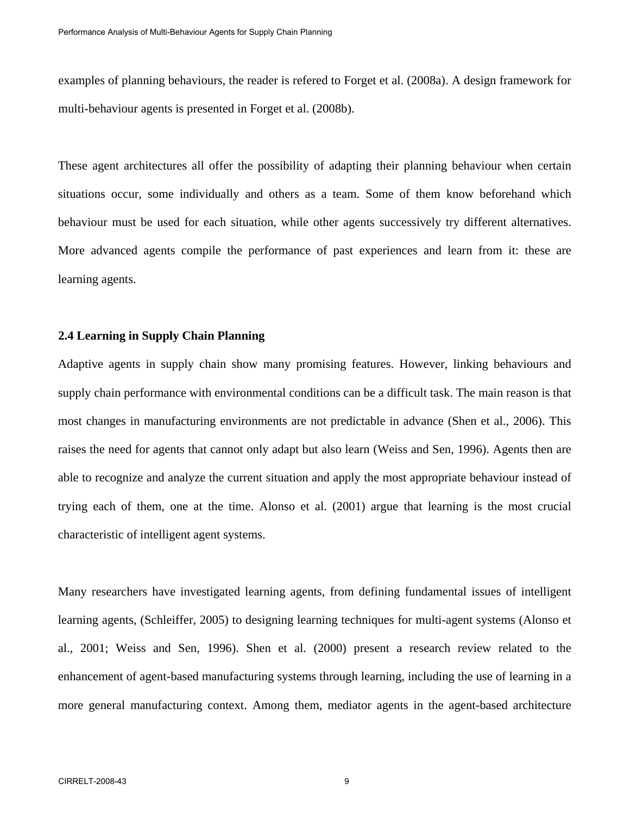examples of planning behaviours, the reader is refered to Forget et al. (2008a). A design framework for multi-behaviour agents is presented in Forget et al. (2008b).

These agent architectures all offer the possibility of adapting their planning behaviour when certain situations occur, some individually and others as a team. Some of them know beforehand which behaviour must be used for each situation, while other agents successively try different alternatives. More advanced agents compile the performance of past experiences and learn from it: these are learning agents.

#### **2.4 Learning in Supply Chain Planning**

Adaptive agents in supply chain show many promising features. However, linking behaviours and supply chain performance with environmental conditions can be a difficult task. The main reason is that most changes in manufacturing environments are not predictable in advance (Shen et al., 2006). This raises the need for agents that cannot only adapt but also learn (Weiss and Sen, 1996). Agents then are able to recognize and analyze the current situation and apply the most appropriate behaviour instead of trying each of them, one at the time. Alonso et al. (2001) argue that learning is the most crucial characteristic of intelligent agent systems.

Many researchers have investigated learning agents, from defining fundamental issues of intelligent learning agents, (Schleiffer, 2005) to designing learning techniques for multi-agent systems (Alonso et al., 2001; Weiss and Sen, 1996). Shen et al. (2000) present a research review related to the enhancement of agent-based manufacturing systems through learning, including the use of learning in a more general manufacturing context. Among them, mediator agents in the agent-based architecture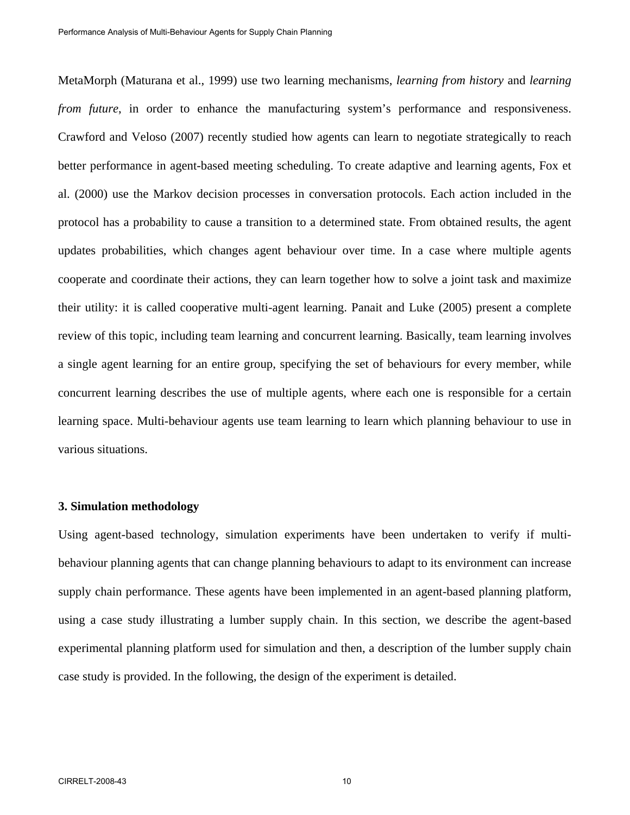MetaMorph (Maturana et al., 1999) use two learning mechanisms, *learning from history* and *learning from future*, in order to enhance the manufacturing system's performance and responsiveness. Crawford and Veloso (2007) recently studied how agents can learn to negotiate strategically to reach better performance in agent-based meeting scheduling. To create adaptive and learning agents, Fox et al. (2000) use the Markov decision processes in conversation protocols. Each action included in the protocol has a probability to cause a transition to a determined state. From obtained results, the agent updates probabilities, which changes agent behaviour over time. In a case where multiple agents cooperate and coordinate their actions, they can learn together how to solve a joint task and maximize their utility: it is called cooperative multi-agent learning. Panait and Luke (2005) present a complete review of this topic, including team learning and concurrent learning. Basically, team learning involves a single agent learning for an entire group, specifying the set of behaviours for every member, while concurrent learning describes the use of multiple agents, where each one is responsible for a certain learning space. Multi-behaviour agents use team learning to learn which planning behaviour to use in various situations.

## **3. Simulation methodology**

Using agent-based technology, simulation experiments have been undertaken to verify if multibehaviour planning agents that can change planning behaviours to adapt to its environment can increase supply chain performance. These agents have been implemented in an agent-based planning platform, using a case study illustrating a lumber supply chain. In this section, we describe the agent-based experimental planning platform used for simulation and then, a description of the lumber supply chain case study is provided. In the following, the design of the experiment is detailed.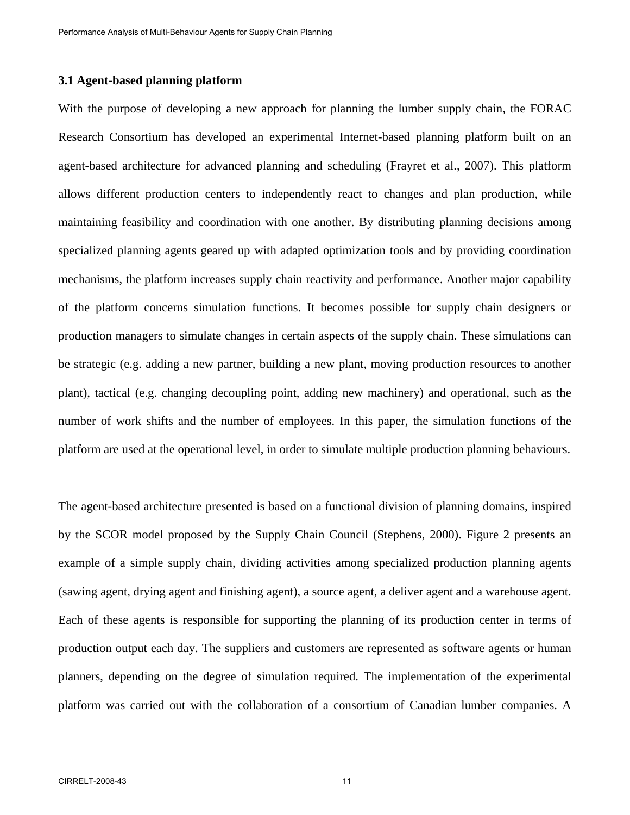## **3.1 Agent-based planning platform**

With the purpose of developing a new approach for planning the lumber supply chain, the FORAC Research Consortium has developed an experimental Internet-based planning platform built on an agent-based architecture for advanced planning and scheduling (Frayret et al., 2007). This platform allows different production centers to independently react to changes and plan production, while maintaining feasibility and coordination with one another. By distributing planning decisions among specialized planning agents geared up with adapted optimization tools and by providing coordination mechanisms, the platform increases supply chain reactivity and performance. Another major capability of the platform concerns simulation functions. It becomes possible for supply chain designers or production managers to simulate changes in certain aspects of the supply chain. These simulations can be strategic (e.g. adding a new partner, building a new plant, moving production resources to another plant), tactical (e.g. changing decoupling point, adding new machinery) and operational, such as the number of work shifts and the number of employees. In this paper, the simulation functions of the platform are used at the operational level, in order to simulate multiple production planning behaviours.

The agent-based architecture presented is based on a functional division of planning domains, inspired by the SCOR model proposed by the Supply Chain Council (Stephens, 2000). Figure 2 presents an example of a simple supply chain, dividing activities among specialized production planning agents (sawing agent, drying agent and finishing agent), a source agent, a deliver agent and a warehouse agent. Each of these agents is responsible for supporting the planning of its production center in terms of production output each day. The suppliers and customers are represented as software agents or human planners, depending on the degree of simulation required. The implementation of the experimental platform was carried out with the collaboration of a consortium of Canadian lumber companies. A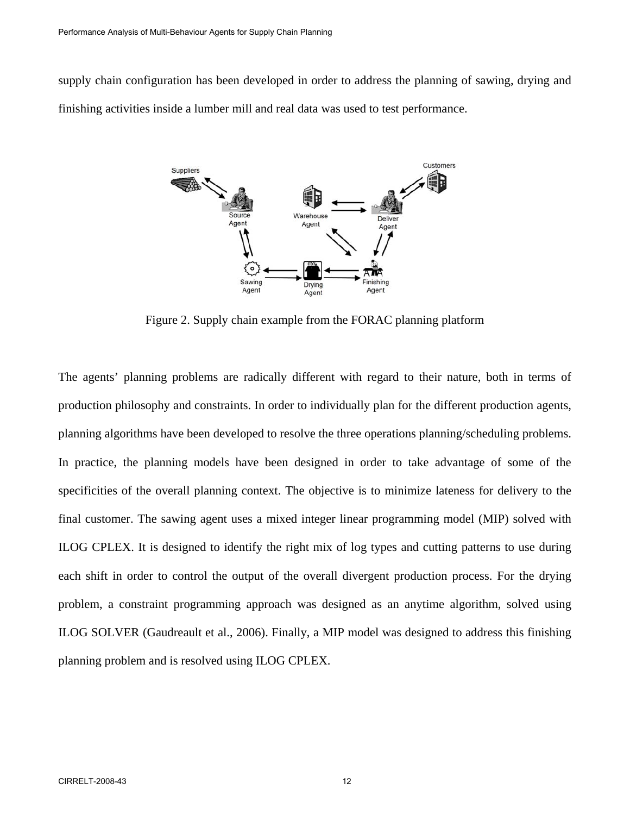supply chain configuration has been developed in order to address the planning of sawing, drying and finishing activities inside a lumber mill and real data was used to test performance.



Figure 2. Supply chain example from the FORAC planning platform

The agents' planning problems are radically different with regard to their nature, both in terms of production philosophy and constraints. In order to individually plan for the different production agents, planning algorithms have been developed to resolve the three operations planning/scheduling problems. In practice, the planning models have been designed in order to take advantage of some of the specificities of the overall planning context. The objective is to minimize lateness for delivery to the final customer. The sawing agent uses a mixed integer linear programming model (MIP) solved with ILOG CPLEX. It is designed to identify the right mix of log types and cutting patterns to use during each shift in order to control the output of the overall divergent production process. For the drying problem, a constraint programming approach was designed as an anytime algorithm, solved using ILOG SOLVER (Gaudreault et al., 2006). Finally, a MIP model was designed to address this finishing planning problem and is resolved using ILOG CPLEX.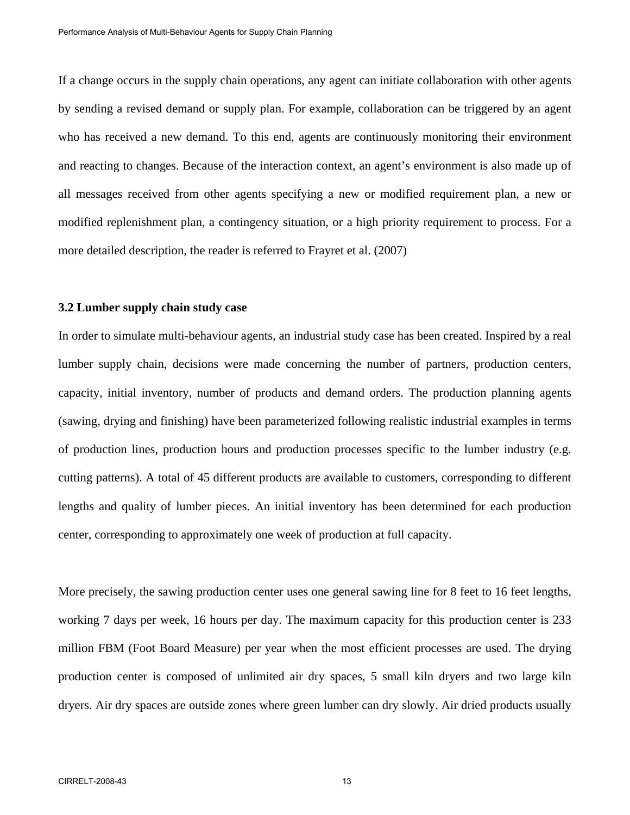If a change occurs in the supply chain operations, any agent can initiate collaboration with other agents by sending a revised demand or supply plan. For example, collaboration can be triggered by an agent who has received a new demand. To this end, agents are continuously monitoring their environment and reacting to changes. Because of the interaction context, an agent's environment is also made up of all messages received from other agents specifying a new or modified requirement plan, a new or modified replenishment plan, a contingency situation, or a high priority requirement to process. For a more detailed description, the reader is referred to Frayret et al. (2007)

#### **3.2 Lumber supply chain study case**

In order to simulate multi-behaviour agents, an industrial study case has been created. Inspired by a real lumber supply chain, decisions were made concerning the number of partners, production centers, capacity, initial inventory, number of products and demand orders. The production planning agents (sawing, drying and finishing) have been parameterized following realistic industrial examples in terms of production lines, production hours and production processes specific to the lumber industry (e.g. cutting patterns). A total of 45 different products are available to customers, corresponding to different lengths and quality of lumber pieces. An initial inventory has been determined for each production center, corresponding to approximately one week of production at full capacity.

More precisely, the sawing production center uses one general sawing line for 8 feet to 16 feet lengths, working 7 days per week, 16 hours per day. The maximum capacity for this production center is 233 million FBM (Foot Board Measure) per year when the most efficient processes are used. The drying production center is composed of unlimited air dry spaces, 5 small kiln dryers and two large kiln dryers. Air dry spaces are outside zones where green lumber can dry slowly. Air dried products usually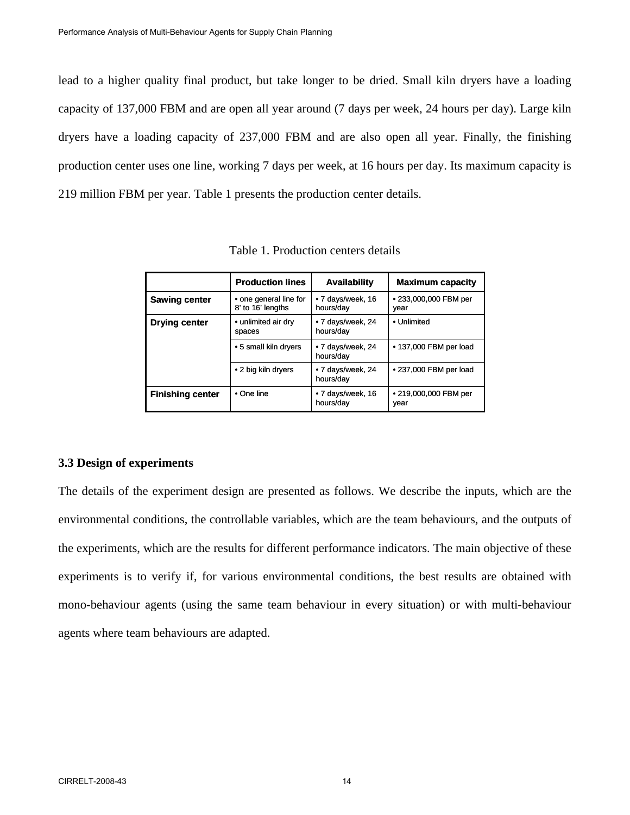lead to a higher quality final product, but take longer to be dried. Small kiln dryers have a loading capacity of 137,000 FBM and are open all year around (7 days per week, 24 hours per day). Large kiln dryers have a loading capacity of 237,000 FBM and are also open all year. Finally, the finishing production center uses one line, working 7 days per week, at 16 hours per day. Its maximum capacity is 219 million FBM per year. Table 1 presents the production center details.

|                         | <b>Production lines</b>                     | <b>Availability</b>            | <b>Maximum capacity</b>       |
|-------------------------|---------------------------------------------|--------------------------------|-------------------------------|
| <b>Sawing center</b>    | • one general line for<br>8' to 16' lengths | • 7 days/week, 16<br>hours/day | ● 233,000,000 FBM per<br>year |
| Drying center           | • unlimited air dry<br>spaces               | • 7 days/week, 24<br>hours/day | • Unlimited                   |
|                         | • 5 small kiln dryers                       | • 7 days/week, 24<br>hours/day | • 137,000 FBM per load        |
|                         | • 2 big kiln dryers                         | • 7 days/week, 24<br>hours/day | • 237,000 FBM per load        |
| <b>Finishing center</b> | $\bullet$ One line                          | • 7 days/week, 16<br>hours/day | • 219,000,000 FBM per<br>year |

Table 1. Production centers details

## **3.3 Design of experiments**

The details of the experiment design are presented as follows. We describe the inputs, which are the environmental conditions, the controllable variables, which are the team behaviours, and the outputs of the experiments, which are the results for different performance indicators. The main objective of these experiments is to verify if, for various environmental conditions, the best results are obtained with mono-behaviour agents (using the same team behaviour in every situation) or with multi-behaviour agents where team behaviours are adapted.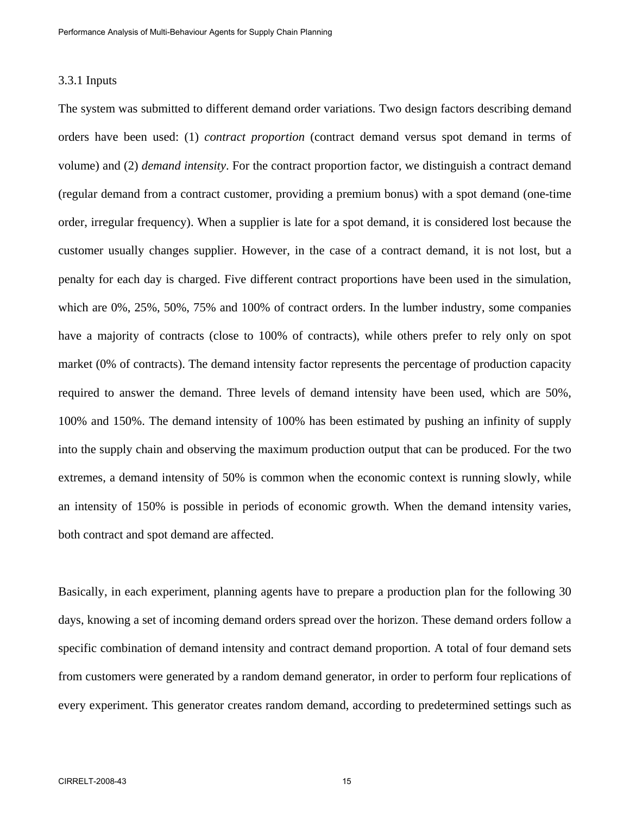## 3.3.1 Inputs

The system was submitted to different demand order variations. Two design factors describing demand orders have been used: (1) *contract proportion* (contract demand versus spot demand in terms of volume) and (2) *demand intensity*. For the contract proportion factor, we distinguish a contract demand (regular demand from a contract customer, providing a premium bonus) with a spot demand (one-time order, irregular frequency). When a supplier is late for a spot demand, it is considered lost because the customer usually changes supplier. However, in the case of a contract demand, it is not lost, but a penalty for each day is charged. Five different contract proportions have been used in the simulation, which are 0%, 25%, 50%, 75% and 100% of contract orders. In the lumber industry, some companies have a majority of contracts (close to 100% of contracts), while others prefer to rely only on spot market (0% of contracts). The demand intensity factor represents the percentage of production capacity required to answer the demand. Three levels of demand intensity have been used, which are 50%, 100% and 150%. The demand intensity of 100% has been estimated by pushing an infinity of supply into the supply chain and observing the maximum production output that can be produced. For the two extremes, a demand intensity of 50% is common when the economic context is running slowly, while an intensity of 150% is possible in periods of economic growth. When the demand intensity varies, both contract and spot demand are affected.

Basically, in each experiment, planning agents have to prepare a production plan for the following 30 days, knowing a set of incoming demand orders spread over the horizon. These demand orders follow a specific combination of demand intensity and contract demand proportion. A total of four demand sets from customers were generated by a random demand generator, in order to perform four replications of every experiment. This generator creates random demand, according to predetermined settings such as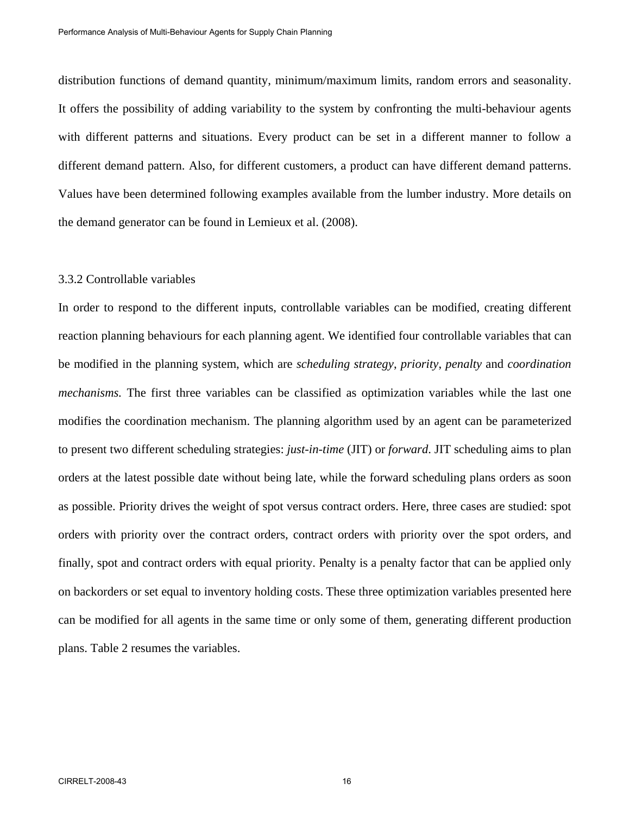distribution functions of demand quantity, minimum/maximum limits, random errors and seasonality. It offers the possibility of adding variability to the system by confronting the multi-behaviour agents with different patterns and situations. Every product can be set in a different manner to follow a different demand pattern. Also, for different customers, a product can have different demand patterns. Values have been determined following examples available from the lumber industry. More details on the demand generator can be found in Lemieux et al. (2008).

#### 3.3.2 Controllable variables

In order to respond to the different inputs, controllable variables can be modified, creating different reaction planning behaviours for each planning agent. We identified four controllable variables that can be modified in the planning system, which are *scheduling strategy*, *priority*, *penalty* and *coordination mechanisms.* The first three variables can be classified as optimization variables while the last one modifies the coordination mechanism. The planning algorithm used by an agent can be parameterized to present two different scheduling strategies: *just-in-time* (JIT) or *forward*. JIT scheduling aims to plan orders at the latest possible date without being late, while the forward scheduling plans orders as soon as possible. Priority drives the weight of spot versus contract orders. Here, three cases are studied: spot orders with priority over the contract orders, contract orders with priority over the spot orders, and finally, spot and contract orders with equal priority. Penalty is a penalty factor that can be applied only on backorders or set equal to inventory holding costs. These three optimization variables presented here can be modified for all agents in the same time or only some of them, generating different production plans. Table 2 resumes the variables.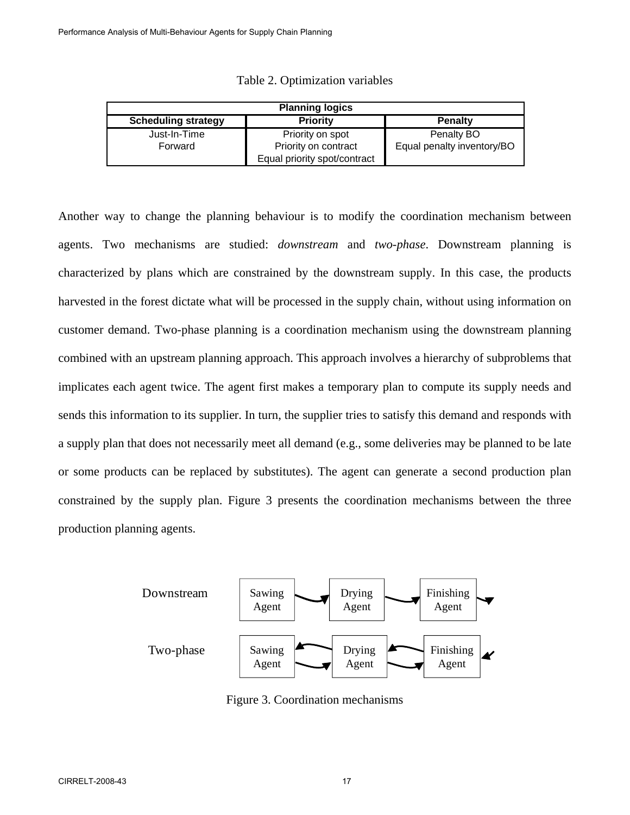| <b>Planning logics</b>     |                              |                            |  |  |  |  |
|----------------------------|------------------------------|----------------------------|--|--|--|--|
| <b>Scheduling strategy</b> | <b>Priority</b>              | <b>Penalty</b>             |  |  |  |  |
| Just-In-Time               | Priority on spot             | Penalty BO                 |  |  |  |  |
| Forward                    | Priority on contract         | Equal penalty inventory/BO |  |  |  |  |
|                            | Equal priority spot/contract |                            |  |  |  |  |

|  | Table 2. Optimization variables |  |
|--|---------------------------------|--|
|  |                                 |  |

Another way to change the planning behaviour is to modify the coordination mechanism between agents. Two mechanisms are studied: *downstream* and *two-phase*. Downstream planning is characterized by plans which are constrained by the downstream supply. In this case, the products harvested in the forest dictate what will be processed in the supply chain, without using information on customer demand. Two-phase planning is a coordination mechanism using the downstream planning combined with an upstream planning approach. This approach involves a hierarchy of subproblems that implicates each agent twice. The agent first makes a temporary plan to compute its supply needs and sends this information to its supplier. In turn, the supplier tries to satisfy this demand and responds with a supply plan that does not necessarily meet all demand (e.g., some deliveries may be planned to be late or some products can be replaced by substitutes). The agent can generate a second production plan constrained by the supply plan. Figure 3 presents the coordination mechanisms between the three production planning agents.



Figure 3. Coordination mechanisms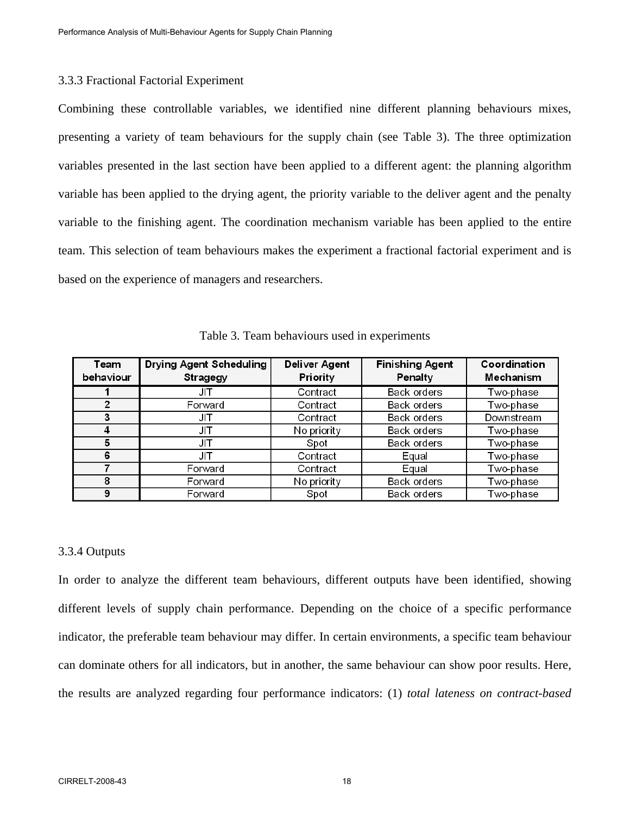#### 3.3.3 Fractional Factorial Experiment

Combining these controllable variables, we identified nine different planning behaviours mixes, presenting a variety of team behaviours for the supply chain (see Table 3). The three optimization variables presented in the last section have been applied to a different agent: the planning algorithm variable has been applied to the drying agent, the priority variable to the deliver agent and the penalty variable to the finishing agent. The coordination mechanism variable has been applied to the entire team. This selection of team behaviours makes the experiment a fractional factorial experiment and is based on the experience of managers and researchers.

| Team<br>behaviour | <b>Drying Agent Scheduling</b><br>Stragegy | <b>Deliver Agent</b><br>Priority | <b>Finishing Agent</b><br>Penalty | Coordination<br>Mechanism |
|-------------------|--------------------------------------------|----------------------------------|-----------------------------------|---------------------------|
|                   | JIT                                        | Contract                         | Back orders                       | Two-phase                 |
|                   | Forward                                    | Contract                         | Back orders                       | Two-phase                 |
|                   | JIT                                        | Contract                         | Back orders                       | Downstream                |
|                   | JIT                                        | No priority                      | Back orders                       | Two-phase                 |
| 5                 | JIT                                        | Spot                             | Back orders                       | Two-phase                 |
| 6                 | JIT                                        | Contract                         | Equal                             | Two-phase                 |
|                   | Forward                                    | Contract                         | Equal                             | Two-phase                 |
| 8                 | Forward                                    | No priority                      | Back orders                       | Two-phase                 |
| 9                 | Forward                                    | Spot                             | Back orders                       | Two-phase                 |

Table 3. Team behaviours used in experiments

#### 3.3.4 Outputs

In order to analyze the different team behaviours, different outputs have been identified, showing different levels of supply chain performance. Depending on the choice of a specific performance indicator, the preferable team behaviour may differ. In certain environments, a specific team behaviour can dominate others for all indicators, but in another, the same behaviour can show poor results. Here, the results are analyzed regarding four performance indicators: (1) *total lateness on contract-based*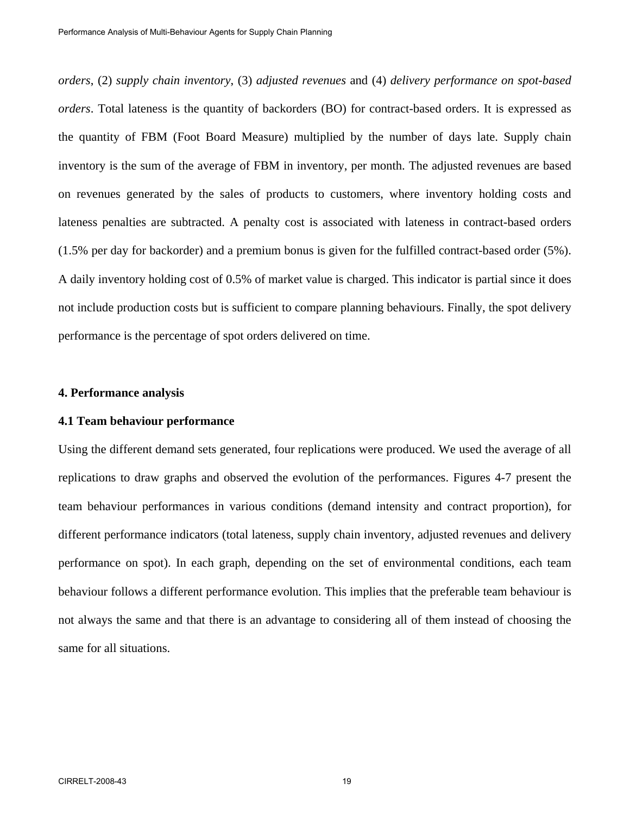*orders*, (2) *supply chain inventory*, (3) *adjusted revenues* and (4) *delivery performance on spot-based orders*. Total lateness is the quantity of backorders (BO) for contract-based orders. It is expressed as the quantity of FBM (Foot Board Measure) multiplied by the number of days late. Supply chain inventory is the sum of the average of FBM in inventory, per month. The adjusted revenues are based on revenues generated by the sales of products to customers, where inventory holding costs and lateness penalties are subtracted. A penalty cost is associated with lateness in contract-based orders (1.5% per day for backorder) and a premium bonus is given for the fulfilled contract-based order (5%). A daily inventory holding cost of 0.5% of market value is charged. This indicator is partial since it does not include production costs but is sufficient to compare planning behaviours. Finally, the spot delivery performance is the percentage of spot orders delivered on time.

## **4. Performance analysis**

#### **4.1 Team behaviour performance**

Using the different demand sets generated, four replications were produced. We used the average of all replications to draw graphs and observed the evolution of the performances. Figures 4-7 present the team behaviour performances in various conditions (demand intensity and contract proportion), for different performance indicators (total lateness, supply chain inventory, adjusted revenues and delivery performance on spot). In each graph, depending on the set of environmental conditions, each team behaviour follows a different performance evolution. This implies that the preferable team behaviour is not always the same and that there is an advantage to considering all of them instead of choosing the same for all situations.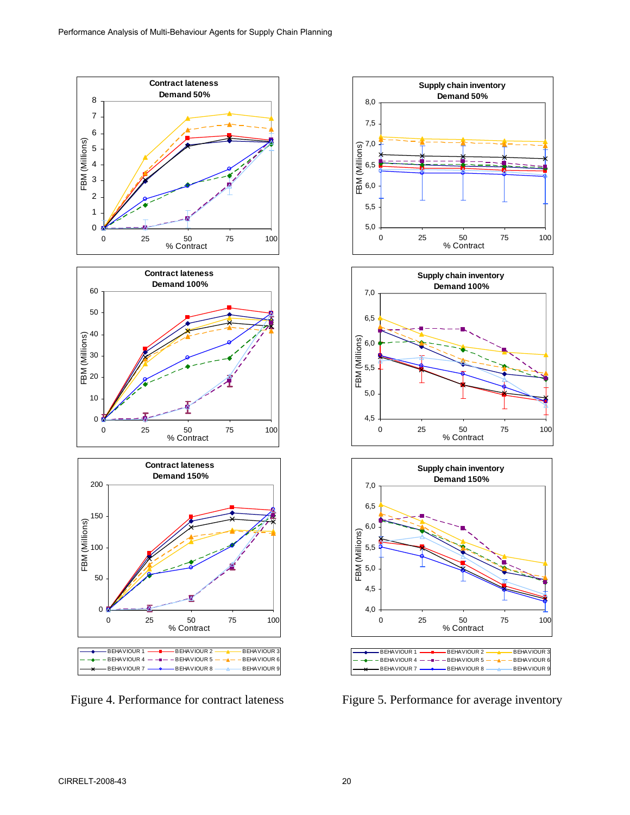







Figure 4. Performance for contract lateness Figure 5. Performance for average inventory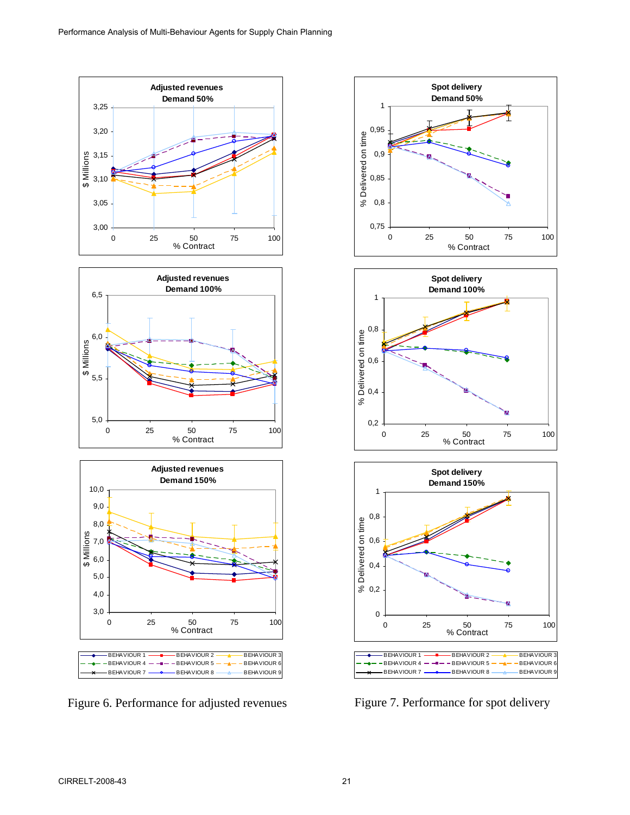

Figure 6. Performance for adjusted revenues Figure 7. Performance for spot delivery

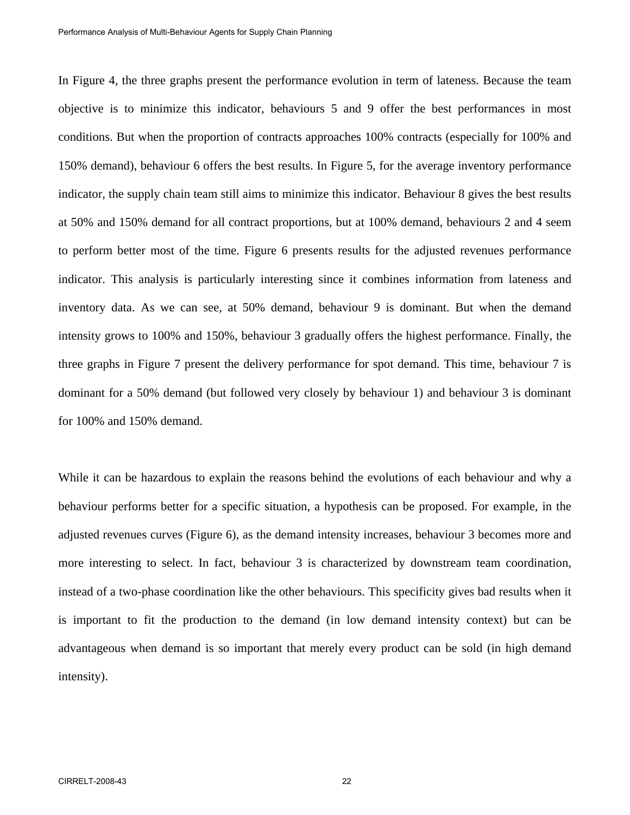In Figure 4, the three graphs present the performance evolution in term of lateness. Because the team objective is to minimize this indicator, behaviours 5 and 9 offer the best performances in most conditions. But when the proportion of contracts approaches 100% contracts (especially for 100% and 150% demand), behaviour 6 offers the best results. In Figure 5, for the average inventory performance indicator, the supply chain team still aims to minimize this indicator. Behaviour 8 gives the best results at 50% and 150% demand for all contract proportions, but at 100% demand, behaviours 2 and 4 seem to perform better most of the time. Figure 6 presents results for the adjusted revenues performance indicator. This analysis is particularly interesting since it combines information from lateness and inventory data. As we can see, at 50% demand, behaviour 9 is dominant. But when the demand intensity grows to 100% and 150%, behaviour 3 gradually offers the highest performance. Finally, the three graphs in Figure 7 present the delivery performance for spot demand. This time, behaviour 7 is dominant for a 50% demand (but followed very closely by behaviour 1) and behaviour 3 is dominant for 100% and 150% demand.

While it can be hazardous to explain the reasons behind the evolutions of each behaviour and why a behaviour performs better for a specific situation, a hypothesis can be proposed. For example, in the adjusted revenues curves (Figure 6), as the demand intensity increases, behaviour 3 becomes more and more interesting to select. In fact, behaviour 3 is characterized by downstream team coordination, instead of a two-phase coordination like the other behaviours. This specificity gives bad results when it is important to fit the production to the demand (in low demand intensity context) but can be advantageous when demand is so important that merely every product can be sold (in high demand intensity).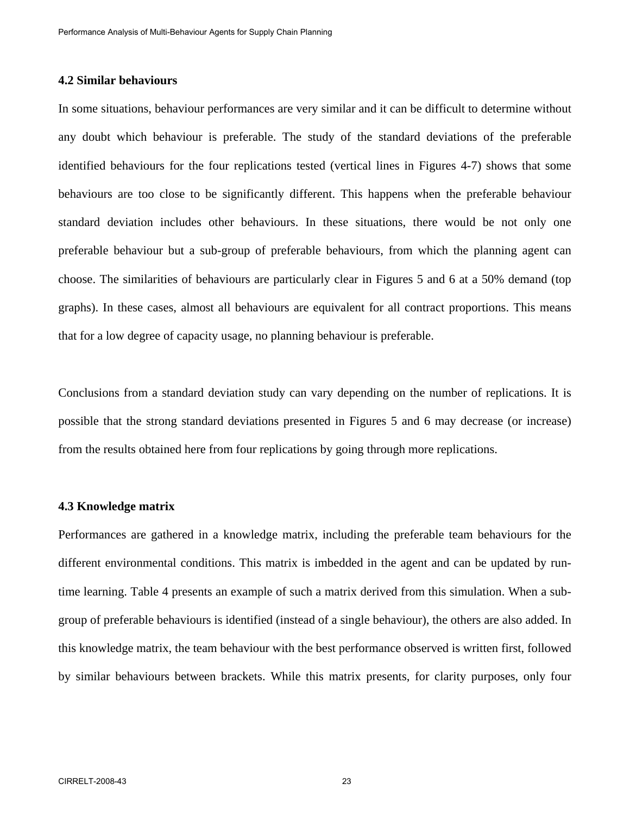## **4.2 Similar behaviours**

In some situations, behaviour performances are very similar and it can be difficult to determine without any doubt which behaviour is preferable. The study of the standard deviations of the preferable identified behaviours for the four replications tested (vertical lines in Figures 4-7) shows that some behaviours are too close to be significantly different. This happens when the preferable behaviour standard deviation includes other behaviours. In these situations, there would be not only one preferable behaviour but a sub-group of preferable behaviours, from which the planning agent can choose. The similarities of behaviours are particularly clear in Figures 5 and 6 at a 50% demand (top graphs). In these cases, almost all behaviours are equivalent for all contract proportions. This means that for a low degree of capacity usage, no planning behaviour is preferable.

Conclusions from a standard deviation study can vary depending on the number of replications. It is possible that the strong standard deviations presented in Figures 5 and 6 may decrease (or increase) from the results obtained here from four replications by going through more replications.

## **4.3 Knowledge matrix**

Performances are gathered in a knowledge matrix, including the preferable team behaviours for the different environmental conditions. This matrix is imbedded in the agent and can be updated by runtime learning. Table 4 presents an example of such a matrix derived from this simulation. When a subgroup of preferable behaviours is identified (instead of a single behaviour), the others are also added. In this knowledge matrix, the team behaviour with the best performance observed is written first, followed by similar behaviours between brackets. While this matrix presents, for clarity purposes, only four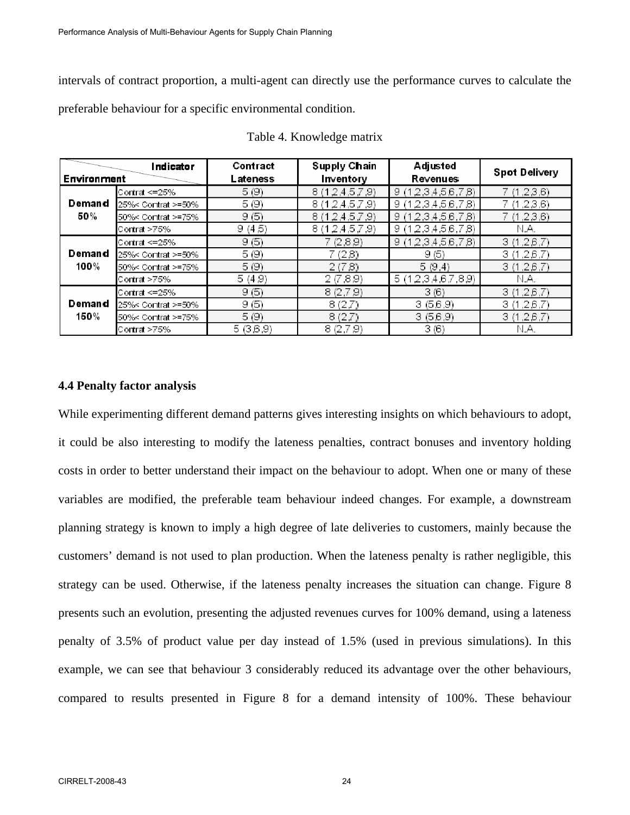intervals of contract proportion, a multi-agent can directly use the performance curves to calculate the preferable behaviour for a specific environmental condition.

| Indicator      |                    | Contract | Supply Chain      | Adjusted           | <b>Spot Delivery</b> |  |
|----------------|--------------------|----------|-------------------|--------------------|----------------------|--|
| Environment    |                    | Lateness | Inventory         | Revenues           |                      |  |
|                | Contrat <=25%      | 5(9)     | 8(12,4.5,7.9)     | 9(12,3,4,5,6,7,8)  | 7 (1,2,3,6)          |  |
| Demand         | 25%< Contrat >=50% | 5(9)     | 8(12,4.5,7.9)     | 9(12,3,4,5,6,7,8)  | 7 (1,2,3,6)          |  |
| 50%            | 50%< Contrat >=75% | 9(5)     | 8(12.4.5.7.9)     | 9(12,3,4,5,6,7,8)  | 7 (1,2,3,6)          |  |
|                | Contrat >75%       | 9(4,5)   | 8(12, 4, 5, 7, 9) | 9(12,3,4,5,6,7,8)  | N.A.                 |  |
| Demand<br>100% | Contrat <= 25%     | 9(5)     | 7 (2,8,9)         | 9(12,3,4,5,6,7,8)  | 3(1,26,7)            |  |
|                | 25%< Contrat >=50% | 5(9)     | 7(2,8)            | 9(5)               | 3(1,26,7)            |  |
|                | 50%< Contrat >=75% | 5(9)     | 2(7,8)            | 5(9,4)             | 3(1.26.7)            |  |
|                | Contrat >75%       | 5(4.9)   | 2(7,8,9)          | 5 (12,3,4,6,7,8,9) | N.A.                 |  |
| Demand<br>150% | Contrat <= 25%     | 9(5)     | 8(2,7,9)          | 3(6)               | 3(1,26,7)            |  |
|                | 25%< Contrat >=50% | 9(5)     | 8(2,7)            | 3(5,6,9)           | 3(1,26,7)            |  |
|                | 50%< Contrat >=75% | 5(9)     | 8(2,7)            | 3(5,6,9)           | 3(1.26.7)            |  |
|                | Contrat>75%        | 5(3,6,9) | 8(2,7,9)          | 3(6)               | N.A.                 |  |

Table 4. Knowledge matrix

#### **4.4 Penalty factor analysis**

While experimenting different demand patterns gives interesting insights on which behaviours to adopt, it could be also interesting to modify the lateness penalties, contract bonuses and inventory holding costs in order to better understand their impact on the behaviour to adopt. When one or many of these variables are modified, the preferable team behaviour indeed changes. For example, a downstream planning strategy is known to imply a high degree of late deliveries to customers, mainly because the customers' demand is not used to plan production. When the lateness penalty is rather negligible, this strategy can be used. Otherwise, if the lateness penalty increases the situation can change. Figure 8 presents such an evolution, presenting the adjusted revenues curves for 100% demand, using a lateness penalty of 3.5% of product value per day instead of 1.5% (used in previous simulations). In this example, we can see that behaviour 3 considerably reduced its advantage over the other behaviours, compared to results presented in Figure 8 for a demand intensity of 100%. These behaviour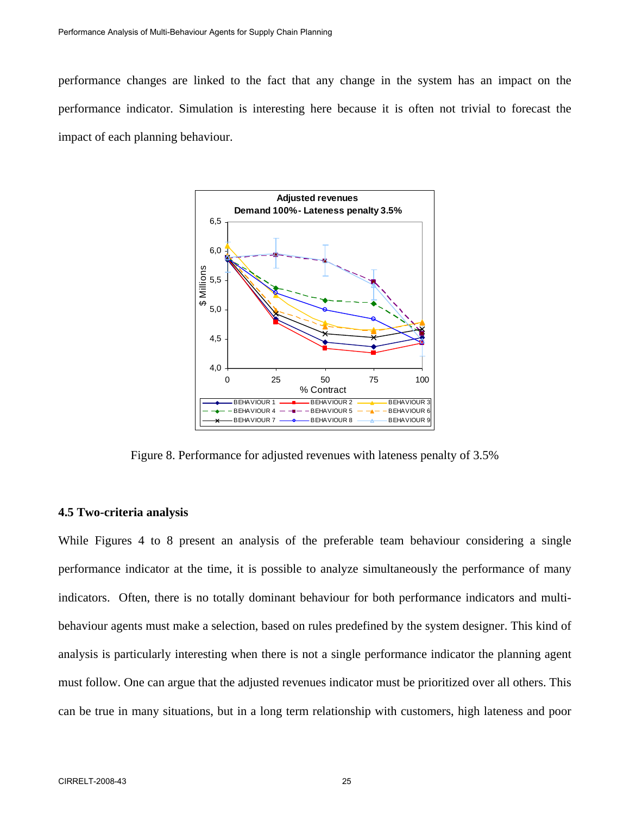performance changes are linked to the fact that any change in the system has an impact on the performance indicator. Simulation is interesting here because it is often not trivial to forecast the impact of each planning behaviour.



Figure 8. Performance for adjusted revenues with lateness penalty of 3.5%

#### **4.5 Two-criteria analysis**

While Figures 4 to 8 present an analysis of the preferable team behaviour considering a single performance indicator at the time, it is possible to analyze simultaneously the performance of many indicators. Often, there is no totally dominant behaviour for both performance indicators and multibehaviour agents must make a selection, based on rules predefined by the system designer. This kind of analysis is particularly interesting when there is not a single performance indicator the planning agent must follow. One can argue that the adjusted revenues indicator must be prioritized over all others. This can be true in many situations, but in a long term relationship with customers, high lateness and poor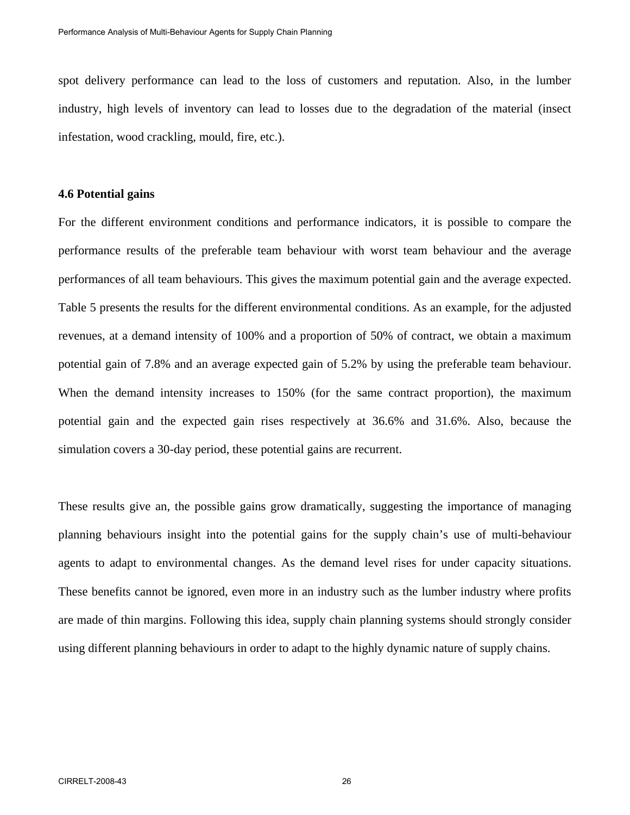spot delivery performance can lead to the loss of customers and reputation. Also, in the lumber industry, high levels of inventory can lead to losses due to the degradation of the material (insect infestation, wood crackling, mould, fire, etc.).

## **4.6 Potential gains**

For the different environment conditions and performance indicators, it is possible to compare the performance results of the preferable team behaviour with worst team behaviour and the average performances of all team behaviours. This gives the maximum potential gain and the average expected. Table 5 presents the results for the different environmental conditions. As an example, for the adjusted revenues, at a demand intensity of 100% and a proportion of 50% of contract, we obtain a maximum potential gain of 7.8% and an average expected gain of 5.2% by using the preferable team behaviour. When the demand intensity increases to 150% (for the same contract proportion), the maximum potential gain and the expected gain rises respectively at 36.6% and 31.6%. Also, because the simulation covers a 30-day period, these potential gains are recurrent.

These results give an, the possible gains grow dramatically, suggesting the importance of managing planning behaviours insight into the potential gains for the supply chain's use of multi-behaviour agents to adapt to environmental changes. As the demand level rises for under capacity situations. These benefits cannot be ignored, even more in an industry such as the lumber industry where profits are made of thin margins. Following this idea, supply chain planning systems should strongly consider using different planning behaviours in order to adapt to the highly dynamic nature of supply chains.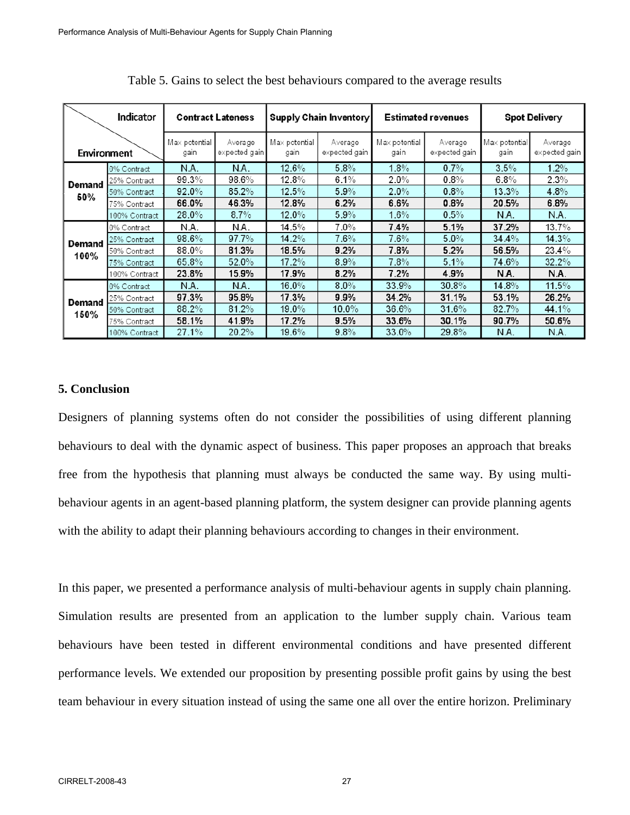|             | Indicator<br><b>Contract Lateness</b> |                       |                          | Supply Chain Inventory |                          | <b>Estimated revenues</b> |                          | <b>Spot Delivery</b>  |                          |
|-------------|---------------------------------------|-----------------------|--------------------------|------------------------|--------------------------|---------------------------|--------------------------|-----------------------|--------------------------|
| Environment |                                       | Max potential<br>gain | Average<br>expected gain | Max potential<br>gain  | Average<br>expected gain | Max potential<br>gain     | Average<br>expected gain | Max potential<br>gain | Average<br>expected gain |
|             | 0% Contract                           | N.A.                  | N.A.                     | 12.6%                  | 5.8%                     | $1.8\%$                   | $0.7\%$                  | 3.5%                  | $1.2\%$                  |
| Demand      | 25% Contract                          | 99.3%                 | 98.6%                    | 12.8%                  | 6.1%                     | $2.0\%$                   | 0.8%                     | 6.8%                  | 2.3%                     |
| 50%         | 50% Contract                          | $92.0\%$              | 85.2%                    | $12.5\%$               | 5.9%                     | $2.0\%$                   | $0.8\%$                  | $13.3\%$              | $4.8\%$                  |
|             | 75% Contract                          | 66.0%                 | 46.3%                    | 12.8%                  | 6.2%                     | 6.6%                      | 0.8%                     | 20.5%                 | 6.8%                     |
|             | 100% Contract                         | 28.0%                 | $8.7\%$                  | $12.0\%$               | 5.9%                     | $1.6\%$                   | 0.5%                     | N.A.                  | N.A.                     |
|             | 0% Contract                           | N.A.                  | N.A.                     | 14.5%                  | $7.0\%$                  | 7.4%                      | 5.1%                     | 37.2%                 | $13.7\%$                 |
|             | 25% Contract                          | 98.6%                 | 97.7%                    | 14.2%                  | $7.6\%$                  | $7.6\%$                   | 5.0%                     | 34.4%                 | 14.3%                    |
| Demand      | 50% Contract                          | $88.0\%$              | 81.3%                    | 18.5%                  | 9.2%                     | 7.8%                      | 5.2%                     | 56.5%                 | 23.4%                    |
| 100%        | 75% Contract                          | 65.8%                 | $52.0\%$                 | $17.2\%$               | 8.9%                     | 7.8%                      | 5.1%                     | 74.6%                 | 32.2%                    |
|             | 100% Contract                         | 23.8%                 | 15.9%                    | 17.9%                  | 8.2%                     | 7.2%                      | 4.9%                     | N.A.                  | N.A.                     |
|             | 0% Contract                           | N.A.                  | N.A.                     | $16.0\%$               | $8.0\%$                  | 33.9%                     | 30.8%                    | 14.8%                 | 11.5%                    |
|             | 25% Contract                          | 97.3%                 | 95.8%                    | 17.3%                  | 9.9%                     | 34.2%                     | 31.1%                    | 53.1%                 | 26.2%                    |
| Demand      | 50% Contract                          | 88.2%                 | 81.2%                    | $19.0\%$               | $10.0\%$                 | 36.6%                     | 31.6%                    | 82.7%                 | 44.1%                    |
| 150%        | 75% Contract                          | 58.1%                 | 41.9%                    | 17.2%                  | 9.5%                     | 33.6%                     | 30.1%                    | 90.7%                 | 50.6%                    |
|             | 100% Contract                         | 27.1%                 | $20.2\%$                 | 19.6%                  | 9.8%                     | 33.0%                     | 29.8%                    | N.A.                  | N.A.                     |

Table 5. Gains to select the best behaviours compared to the average results

## **5. Conclusion**

Designers of planning systems often do not consider the possibilities of using different planning behaviours to deal with the dynamic aspect of business. This paper proposes an approach that breaks free from the hypothesis that planning must always be conducted the same way. By using multibehaviour agents in an agent-based planning platform, the system designer can provide planning agents with the ability to adapt their planning behaviours according to changes in their environment.

In this paper, we presented a performance analysis of multi-behaviour agents in supply chain planning. Simulation results are presented from an application to the lumber supply chain. Various team behaviours have been tested in different environmental conditions and have presented different performance levels. We extended our proposition by presenting possible profit gains by using the best team behaviour in every situation instead of using the same one all over the entire horizon. Preliminary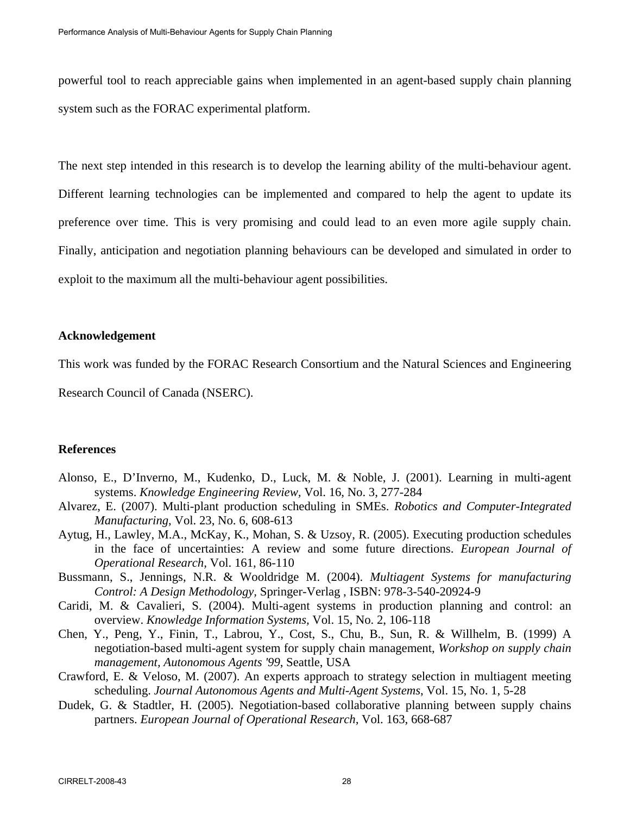powerful tool to reach appreciable gains when implemented in an agent-based supply chain planning system such as the FORAC experimental platform.

The next step intended in this research is to develop the learning ability of the multi-behaviour agent. Different learning technologies can be implemented and compared to help the agent to update its preference over time. This is very promising and could lead to an even more agile supply chain. Finally, anticipation and negotiation planning behaviours can be developed and simulated in order to exploit to the maximum all the multi-behaviour agent possibilities.

## **Acknowledgement**

This work was funded by the FORAC Research Consortium and the Natural Sciences and Engineering

Research Council of Canada (NSERC).

## **References**

- Alonso, E., D'Inverno, M., Kudenko, D., Luck, M. & Noble, J. (2001). Learning in multi-agent systems. *Knowledge Engineering Review,* Vol. 16, No. 3, 277-284
- Alvarez, E. (2007). Multi-plant production scheduling in SMEs. *Robotics and Computer-Integrated Manufacturing*, Vol. 23, No. 6, 608-613
- Aytug, H., Lawley, M.A., McKay, K., Mohan, S. & Uzsoy, R. (2005). Executing production schedules in the face of uncertainties: A review and some future directions. *European Journal of Operational Research,* Vol. 161, 86-110
- Bussmann, S., Jennings, N.R. & Wooldridge M. (2004). *Multiagent Systems for manufacturing Control: A Design Methodology,* Springer-Verlag , ISBN: 978-3-540-20924-9
- Caridi, M. & Cavalieri, S. (2004). Multi-agent systems in production planning and control: an overview. *Knowledge Information Systems,* Vol. 15, No. 2, 106-118
- Chen, Y., Peng, Y., Finin, T., Labrou, Y., Cost, S., Chu, B., Sun, R. & Willhelm, B. (1999) A negotiation-based multi-agent system for supply chain management, *Workshop on supply chain management, Autonomous Agents '99*, Seattle, USA
- Crawford, E. & Veloso, M. (2007). An experts approach to strategy selection in multiagent meeting scheduling. *Journal Autonomous Agents and Multi-Agent Systems*, Vol. 15, No. 1, 5-28
- Dudek, G. & Stadtler, H. (2005). Negotiation-based collaborative planning between supply chains partners. *European Journal of Operational Research,* Vol. 163, 668-687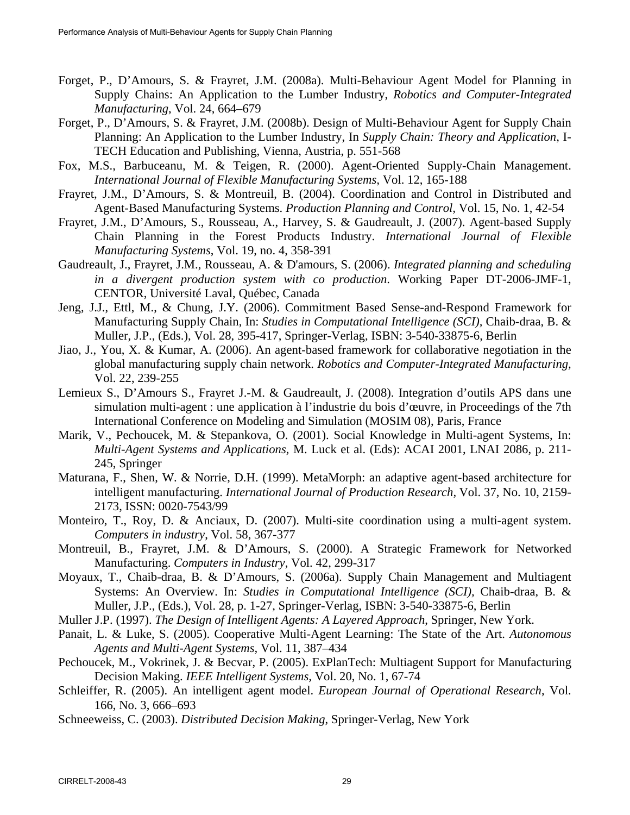- Forget, P., D'Amours, S. & Frayret, J.M. (2008a). Multi-Behaviour Agent Model for Planning in Supply Chains: An Application to the Lumber Industry, *Robotics and Computer-Integrated Manufacturing*, Vol. 24, 664–679
- Forget, P., D'Amours, S. & Frayret, J.M. (2008b). Design of Multi-Behaviour Agent for Supply Chain Planning: An Application to the Lumber Industry, In *Supply Chain: Theory and Application*, I-TECH Education and Publishing, Vienna, Austria, p. 551-568
- Fox, M.S., Barbuceanu, M. & Teigen, R. (2000). Agent-Oriented Supply-Chain Management. *International Journal of Flexible Manufacturing Systems,* Vol. 12, 165-188
- Frayret, J.M., D'Amours, S. & Montreuil, B. (2004). Coordination and Control in Distributed and Agent-Based Manufacturing Systems. *Production Planning and Control,* Vol. 15, No. 1, 42-54
- Frayret, J.M., D'Amours, S., Rousseau, A., Harvey, S. & Gaudreault, J. (2007). Agent-based Supply Chain Planning in the Forest Products Industry. *International Journal of Flexible Manufacturing Systems*, Vol. 19, no. 4, 358-391
- Gaudreault, J., Frayret, J.M., Rousseau, A. & D'amours, S. (2006). *Integrated planning and scheduling in a divergent production system with co production*. Working Paper DT-2006-JMF-1, CENTOR, Université Laval, Québec, Canada
- Jeng, J.J., Ettl, M., & Chung, J.Y. (2006). Commitment Based Sense-and-Respond Framework for Manufacturing Supply Chain, In: *Studies in Computational Intelligence (SCI),* Chaib-draa, B. & Muller, J.P., (Eds.), Vol. 28, 395-417, Springer-Verlag, ISBN: 3-540-33875-6, Berlin
- Jiao, J., You, X. & Kumar, A. (2006). An agent-based framework for collaborative negotiation in the global manufacturing supply chain network. *Robotics and Computer-Integrated Manufacturing,*  Vol. 22, 239-255
- Lemieux S., D'Amours S., Frayret J.-M. & Gaudreault, J. (2008). Integration d'outils APS dans une simulation multi-agent : une application à l'industrie du bois d'œuvre, in Proceedings of the 7th International Conference on Modeling and Simulation (MOSIM 08), Paris, France
- Marik, V., Pechoucek, M. & Stepankova, O. (2001). Social Knowledge in Multi-agent Systems, In: *Multi-Agent Systems and Applications,* M. Luck et al. (Eds): ACAI 2001, LNAI 2086, p. 211- 245, Springer
- Maturana, F., Shen, W. & Norrie, D.H. (1999). MetaMorph: an adaptive agent-based architecture for intelligent manufacturing. *International Journal of Production Research,* Vol. 37, No. 10, 2159- 2173, ISSN: 0020-7543/99
- Monteiro, T., Roy, D. & Anciaux, D. (2007). Multi-site coordination using a multi-agent system. *Computers in industry*, Vol. 58, 367-377
- Montreuil, B., Frayret, J.M. & D'Amours, S. (2000). A Strategic Framework for Networked Manufacturing. *Computers in Industry,* Vol. 42, 299-317
- Moyaux, T., Chaib-draa, B. & D'Amours, S. (2006a). Supply Chain Management and Multiagent Systems: An Overview. In: *Studies in Computational Intelligence (SCI),* Chaib-draa, B. & Muller, J.P., (Eds.), Vol. 28, p. 1-27, Springer-Verlag, ISBN: 3-540-33875-6, Berlin
- Muller J.P. (1997). *The Design of Intelligent Agents: A Layered Approach*, Springer, New York.
- Panait, L. & Luke, S. (2005). Cooperative Multi-Agent Learning: The State of the Art. *Autonomous Agents and Multi-Agent Systems,* Vol. 11, 387–434
- Pechoucek, M., Vokrinek, J. & Becvar, P. (2005). ExPlanTech: Multiagent Support for Manufacturing Decision Making. *IEEE Intelligent Systems,* Vol. 20, No. 1, 67-74
- Schleiffer, R. (2005). An intelligent agent model. *European Journal of Operational Research*, Vol. 166, No. 3, 666–693
- Schneeweiss, C. (2003). *Distributed Decision Making*, Springer-Verlag, New York